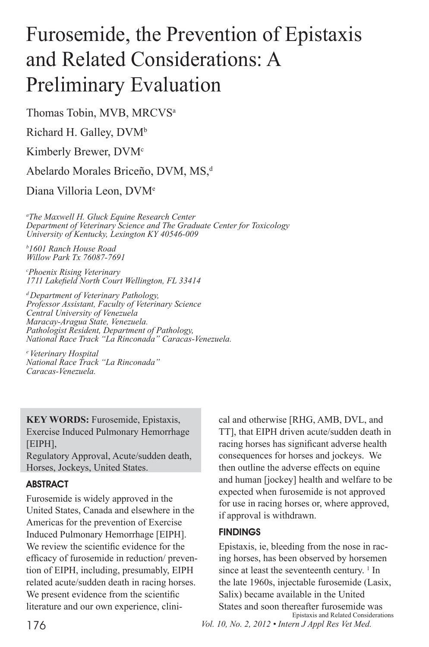# Furosemide, the Prevention of Epistaxis and Related Considerations: A Preliminary Evaluation

Thomas Tobin, MVB, MRCVS<sup>a</sup>

Richard H. Galley,  $DVM^b$ 

Kimberly Brewer, DVM<sup>c</sup>

Abelardo Morales Briceño, DVM, MS,<sup>d</sup>

Diana Villoria Leon, DVM<sup>e</sup>

*a The Maxwell H. Gluck Equine Research Center Department of Veterinary Science and The Graduate Center for Toxicology University of Kentucky, Lexington KY 40546-009*

*b 1601 Ranch House Road Willow Park Tx 76087-7691*

*c Phoenix Rising Veterinary 1711 Lakefield North Court Wellington, FL 33414*

*d Department of Veterinary Pathology, Professor Assistant, Faculty of Veterinary Science Central University of Venezuela Maracay-Aragua State, Venezuela. Pathologist Resident, Department of Pathology, National Race Track "La Rinconada" Caracas-Venezuela.*

*e Veterinary Hospital National Race Track "La Rinconada" Caracas-Venezuela.*

**KEY WORDS:** Furosemide, Epistaxis, Exercise Induced Pulmonary Hemorrhage [EIPH],

Regulatory Approval, Acute/sudden death, Horses, Jockeys, United States.

# **ABSTRACT**

Furosemide is widely approved in the United States, Canada and elsewhere in the Americas for the prevention of Exercise Induced Pulmonary Hemorrhage [EIPH]. We review the scientific evidence for the efficacy of furosemide in reduction/ prevention of EIPH, including, presumably, EIPH related acute/sudden death in racing horses. We present evidence from the scientific literature and our own experience, clinical and otherwise [RHG, AMB, DVL, and TT], that EIPH driven acute/sudden death in racing horses has significant adverse health consequences for horses and jockeys. We then outline the adverse effects on equine and human [jockey] health and welfare to be expected when furosemide is not approved for use in racing horses or, where approved, if approval is withdrawn.

# **FINDINGS**

176 *Vol. 10, No. 2, 2012 • Intern J Appl Res Vet Med.* Epistaxis, ie, bleeding from the nose in racing horses, has been observed by horsemen since at least the seventeenth century.  $\frac{1}{1}$  In the late 1960s, injectable furosemide (Lasix, Salix) became available in the United States and soon thereafter furosemide was Epistaxis and Related Considerations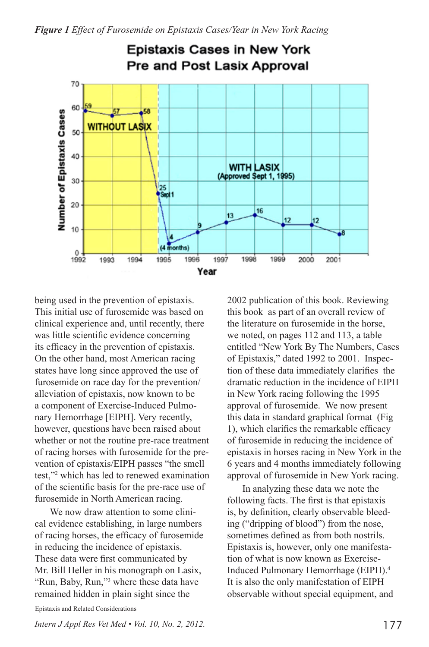

being used in the prevention of epistaxis. This initial use of furosemide was based on clinical experience and, until recently, there was little scientific evidence concerning its efficacy in the prevention of epistaxis. On the other hand, most American racing states have long since approved the use of furosemide on race day for the prevention/ alleviation of epistaxis, now known to be a component of Exercise-Induced Pulmonary Hemorrhage [EIPH]. Very recently, however, questions have been raised about whether or not the routine pre-race treatment of racing horses with furosemide for the prevention of epistaxis/EIPH passes "the smell test,"2 which has led to renewed examination of the scientific basis for the pre-race use of furosemide in North American racing.

We now draw attention to some clinical evidence establishing, in large numbers of racing horses, the efficacy of furosemide in reducing the incidence of epistaxis. These data were first communicated by Mr. Bill Heller in his monograph on Lasix, "Run, Baby, Run,"3 where these data have remained hidden in plain sight since the

2002 publication of this book. Reviewing this book as part of an overall review of the literature on furosemide in the horse, we noted, on pages 112 and 113, a table entitled "New York By The Numbers, Cases of Epistaxis," dated 1992 to 2001. Inspection of these data immediately clarifies the dramatic reduction in the incidence of EIPH in New York racing following the 1995 approval of furosemide. We now present this data in standard graphical format (Fig 1), which clarifies the remarkable efficacy of furosemide in reducing the incidence of epistaxis in horses racing in New York in the 6 years and 4 months immediately following approval of furosemide in New York racing.

In analyzing these data we note the following facts. The first is that epistaxis is, by definition, clearly observable bleeding ("dripping of blood") from the nose, sometimes defined as from both nostrils. Epistaxis is, however, only one manifestation of what is now known as Exercise-Induced Pulmonary Hemorrhage (EIPH).4 It is also the only manifestation of EIPH observable without special equipment, and

Epistaxis and Related Considerations

*Intern J Appl Res Vet Med • Vol. 10, No. 2, 2012.* 177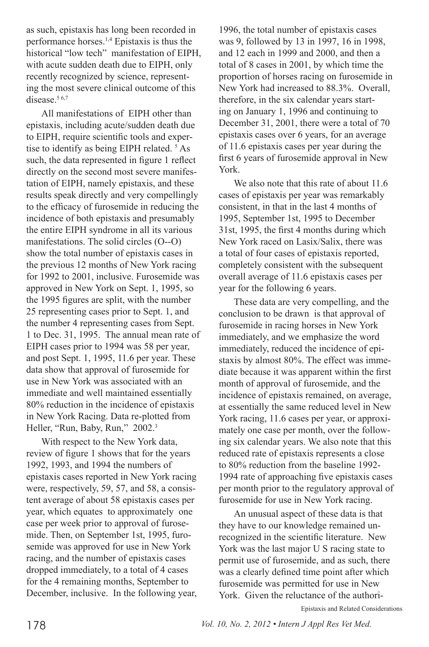as such, epistaxis has long been recorded in performance horses.1,4 Epistaxis is thus the historical "low tech" manifestation of EIPH, with acute sudden death due to EIPH, only recently recognized by science, representing the most severe clinical outcome of this disease.<sup>56,7</sup>

All manifestations of EIPH other than epistaxis, including acute/sudden death due to EIPH, require scientific tools and expertise to identify as being EIPH related.<sup>5</sup> As such, the data represented in figure 1 reflect directly on the second most severe manifestation of EIPH, namely epistaxis, and these results speak directly and very compellingly to the efficacy of furosemide in reducing the incidence of both epistaxis and presumably the entire EIPH syndrome in all its various manifestations. The solid circles (O--O) show the total number of epistaxis cases in the previous 12 months of New York racing for 1992 to 2001, inclusive. Furosemide was approved in New York on Sept. 1, 1995, so the 1995 figures are split, with the number 25 representing cases prior to Sept. 1, and the number 4 representing cases from Sept. 1 to Dec. 31, 1995. The annual mean rate of EIPH cases prior to 1994 was 58 per year, and post Sept. 1, 1995, 11.6 per year. These data show that approval of furosemide for use in New York was associated with an immediate and well maintained essentially 80% reduction in the incidence of epistaxis in New York Racing. Data re-plotted from Heller, "Run, Baby, Run," 2002.<sup>3</sup>

With respect to the New York data, review of figure 1 shows that for the years 1992, 1993, and 1994 the numbers of epistaxis cases reported in New York racing were, respectively, 59, 57, and 58, a consistent average of about 58 epistaxis cases per year, which equates to approximately one case per week prior to approval of furosemide. Then, on September 1st, 1995, furosemide was approved for use in New York racing, and the number of epistaxis cases dropped immediately, to a total of 4 cases for the 4 remaining months, September to December, inclusive. In the following year,

1996, the total number of epistaxis cases was 9, followed by 13 in 1997, 16 in 1998, and 12 each in 1999 and 2000, and then a total of 8 cases in 2001, by which time the proportion of horses racing on furosemide in New York had increased to 88.3%. Overall, therefore, in the six calendar years starting on January 1, 1996 and continuing to December 31, 2001, there were a total of 70 epistaxis cases over 6 years, for an average of 11.6 epistaxis cases per year during the first 6 years of furosemide approval in New York.

We also note that this rate of about 11.6 cases of epistaxis per year was remarkably consistent, in that in the last 4 months of 1995, September 1st, 1995 to December 31st, 1995, the first 4 months during which New York raced on Lasix/Salix, there was a total of four cases of epistaxis reported, completely consistent with the subsequent overall average of 11.6 epistaxis cases per year for the following 6 years.

These data are very compelling, and the conclusion to be drawn is that approval of furosemide in racing horses in New York immediately, and we emphasize the word immediately, reduced the incidence of epistaxis by almost 80%. The effect was immediate because it was apparent within the first month of approval of furosemide, and the incidence of epistaxis remained, on average, at essentially the same reduced level in New York racing, 11.6 cases per year, or approximately one case per month, over the following six calendar years. We also note that this reduced rate of epistaxis represents a close to 80% reduction from the baseline 1992- 1994 rate of approaching five epistaxis cases per month prior to the regulatory approval of furosemide for use in New York racing.

An unusual aspect of these data is that they have to our knowledge remained unrecognized in the scientific literature. New York was the last major U S racing state to permit use of furosemide, and as such, there was a clearly defined time point after which furosemide was permitted for use in New York. Given the reluctance of the authori-

Epistaxis and Related Considerations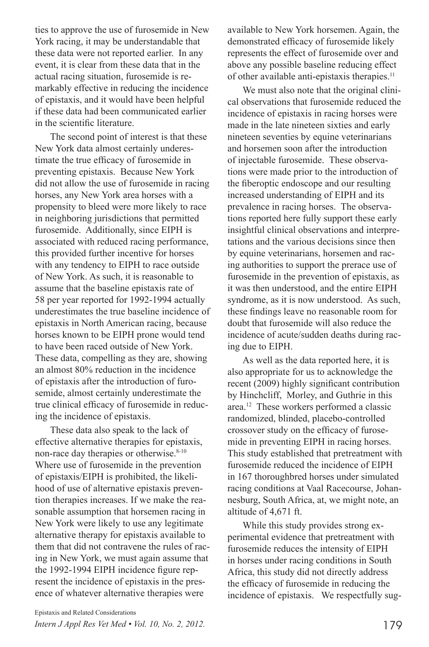ties to approve the use of furosemide in New York racing, it may be understandable that these data were not reported earlier. In any event, it is clear from these data that in the actual racing situation, furosemide is remarkably effective in reducing the incidence of epistaxis, and it would have been helpful if these data had been communicated earlier in the scientific literature.

The second point of interest is that these New York data almost certainly underestimate the true efficacy of furosemide in preventing epistaxis. Because New York did not allow the use of furosemide in racing horses, any New York area horses with a propensity to bleed were more likely to race in neighboring jurisdictions that permitted furosemide. Additionally, since EIPH is associated with reduced racing performance, this provided further incentive for horses with any tendency to EIPH to race outside of New York. As such, it is reasonable to assume that the baseline epistaxis rate of 58 per year reported for 1992-1994 actually underestimates the true baseline incidence of epistaxis in North American racing, because horses known to be EIPH prone would tend to have been raced outside of New York. These data, compelling as they are, showing an almost 80% reduction in the incidence of epistaxis after the introduction of furosemide, almost certainly underestimate the true clinical efficacy of furosemide in reducing the incidence of epistaxis.

These data also speak to the lack of effective alternative therapies for epistaxis, non-race day therapies or otherwise.<sup>8-10</sup> Where use of furosemide in the prevention of epistaxis/EIPH is prohibited, the likelihood of use of alternative epistaxis prevention therapies increases. If we make the reasonable assumption that horsemen racing in New York were likely to use any legitimate alternative therapy for epistaxis available to them that did not contravene the rules of racing in New York, we must again assume that the 1992-1994 EIPH incidence figure represent the incidence of epistaxis in the presence of whatever alternative therapies were

available to New York horsemen. Again, the demonstrated efficacy of furosemide likely represents the effect of furosemide over and above any possible baseline reducing effect of other available anti-epistaxis therapies.11

We must also note that the original clinical observations that furosemide reduced the incidence of epistaxis in racing horses were made in the late nineteen sixties and early nineteen seventies by equine veterinarians and horsemen soon after the introduction of injectable furosemide. These observations were made prior to the introduction of the fiberoptic endoscope and our resulting increased understanding of EIPH and its prevalence in racing horses. The observations reported here fully support these early insightful clinical observations and interpretations and the various decisions since then by equine veterinarians, horsemen and racing authorities to support the prerace use of furosemide in the prevention of epistaxis, as it was then understood, and the entire EIPH syndrome, as it is now understood. As such, these findings leave no reasonable room for doubt that furosemide will also reduce the incidence of acute/sudden deaths during racing due to EIPH.

As well as the data reported here, it is also appropriate for us to acknowledge the recent (2009) highly significant contribution by Hinchcliff, Morley, and Guthrie in this area.12 These workers performed a classic randomized, blinded, placebo-controlled crossover study on the efficacy of furosemide in preventing EIPH in racing horses. This study established that pretreatment with furosemide reduced the incidence of EIPH in 167 thoroughbred horses under simulated racing conditions at Vaal Racecourse, Johannesburg, South Africa, at, we might note, an altitude of 4,671 ft.

While this study provides strong experimental evidence that pretreatment with furosemide reduces the intensity of EIPH in horses under racing conditions in South Africa, this study did not directly address the efficacy of furosemide in reducing the incidence of epistaxis. We respectfully sug-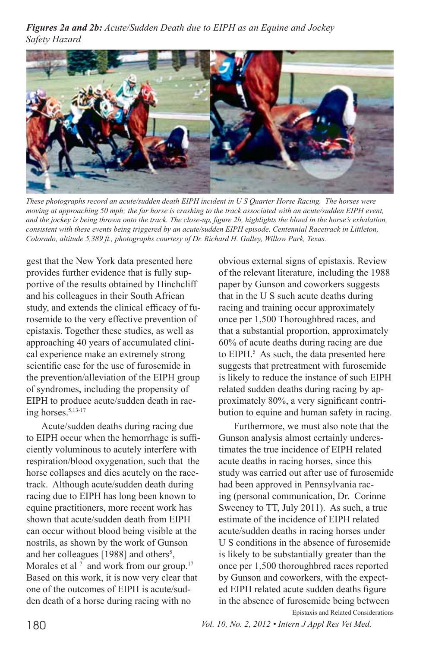*Figures 2a and 2b: Acute/Sudden Death due to EIPH as an Equine and Jockey Safety Hazard*



*These photographs record an acute/sudden death EIPH incident in U S Quarter Horse Racing. The horses were moving at approaching 50 mph; the far horse is crashing to the track associated with an acute/sudden EIPH event, and the jockey is being thrown onto the track. The close-up, figure 2b, highlights the blood in the horse's exhalation, consistent with these events being triggered by an acute/sudden EIPH episode. Centennial Racetrack in Littleton, Colorado, altitude 5,389 ft., photographs courtesy of Dr. Richard H. Galley, Willow Park, Texas.* 

gest that the New York data presented here provides further evidence that is fully supportive of the results obtained by Hinchcliff and his colleagues in their South African study, and extends the clinical efficacy of furosemide to the very effective prevention of epistaxis. Together these studies, as well as approaching 40 years of accumulated clinical experience make an extremely strong scientific case for the use of furosemide in the prevention/alleviation of the EIPH group of syndromes, including the propensity of EIPH to produce acute/sudden death in racing horses.5,13-17

Acute/sudden deaths during racing due to EIPH occur when the hemorrhage is sufficiently voluminous to acutely interfere with respiration/blood oxygenation, such that the horse collapses and dies acutely on the racetrack. Although acute/sudden death during racing due to EIPH has long been known to equine practitioners, more recent work has shown that acute/sudden death from EIPH can occur without blood being visible at the nostrils, as shown by the work of Gunson and her colleagues [1988] and others<sup>5</sup>, Morales et al<sup> $7$ </sup> and work from our group.<sup>17</sup> Based on this work, it is now very clear that one of the outcomes of EIPH is acute/sudden death of a horse during racing with no

obvious external signs of epistaxis. Review of the relevant literature, including the 1988 paper by Gunson and coworkers suggests that in the U S such acute deaths during racing and training occur approximately once per 1,500 Thoroughbred races, and that a substantial proportion, approximately 60% of acute deaths during racing are due to EIPH.<sup>5</sup> As such, the data presented here suggests that pretreatment with furosemide is likely to reduce the instance of such EIPH related sudden deaths during racing by approximately 80%, a very significant contribution to equine and human safety in racing.

Furthermore, we must also note that the Gunson analysis almost certainly underestimates the true incidence of EIPH related acute deaths in racing horses, since this study was carried out after use of furosemide had been approved in Pennsylvania racing (personal communication, Dr. Corinne Sweeney to TT, July 2011). As such, a true estimate of the incidence of EIPH related acute/sudden deaths in racing horses under U S conditions in the absence of furosemide is likely to be substantially greater than the once per 1,500 thoroughbred races reported by Gunson and coworkers, with the expected EIPH related acute sudden deaths figure in the absence of furosemide being between Epistaxis and Related Considerations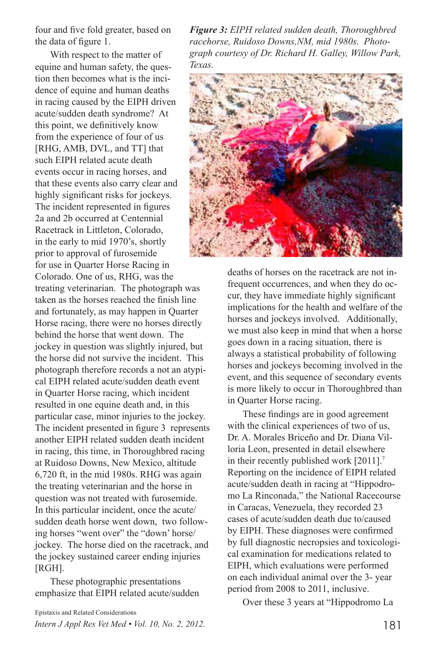four and five fold greater, based on the data of figure 1.

With respect to the matter of equine and human safety, the question then becomes what is the incidence of equine and human deaths in racing caused by the EIPH driven acute/sudden death syndrome? At this point, we definitively know from the experience of four of us [RHG, AMB, DVL, and TT] that such EIPH related acute death events occur in racing horses, and that these events also carry clear and highly significant risks for jockeys. The incident represented in figures 2a and 2b occurred at Centennial Racetrack in Littleton, Colorado, in the early to mid 1970's, shortly prior to approval of furosemide for use in Quarter Horse Racing in Colorado. One of us, RHG, was the treating veterinarian. The photograph was taken as the horses reached the finish line and fortunately, as may happen in Quarter Horse racing, there were no horses directly behind the horse that went down. The jockey in question was slightly injured, but the horse did not survive the incident. This photograph therefore records a not an atypical EIPH related acute/sudden death event in Quarter Horse racing, which incident resulted in one equine death and, in this particular case, minor injuries to the jockey. The incident presented in figure 3 represents another EIPH related sudden death incident in racing, this time, in Thoroughbred racing at Ruidoso Downs, New Mexico, altitude 6,720 ft, in the mid 1980s. RHG was again the treating veterinarian and the horse in question was not treated with furosemide. In this particular incident, once the acute/ sudden death horse went down, two following horses "went over" the "down' horse/ jockey. The horse died on the racetrack, and the jockey sustained career ending injuries [RGH].

These photographic presentations emphasize that EIPH related acute/sudden

*Figure 3: EIPH related sudden death, Thoroughbred racehorse, Ruidoso Downs,NM, mid 1980s. Photograph courtesy of Dr. Richard H. Galley, Willow Park, Texas.*



deaths of horses on the racetrack are not infrequent occurrences, and when they do occur, they have immediate highly significant implications for the health and welfare of the horses and jockeys involved. Additionally, we must also keep in mind that when a horse goes down in a racing situation, there is always a statistical probability of following horses and jockeys becoming involved in the event, and this sequence of secondary events is more likely to occur in Thoroughbred than in Quarter Horse racing.

These findings are in good agreement with the clinical experiences of two of us, Dr. A. Morales Briceño and Dr. Diana Villoria Leon, presented in detail elsewhere in their recently published work [2011].7 Reporting on the incidence of EIPH related acute/sudden death in racing at "Hippodromo La Rinconada," the National Racecourse in Caracas, Venezuela, they recorded 23 cases of acute/sudden death due to/caused by EIPH. These diagnoses were confirmed by full diagnostic necropsies and toxicological examination for medications related to EIPH, which evaluations were performed on each individual animal over the 3- year period from 2008 to 2011, inclusive.

Over these 3 years at "Hippodromo La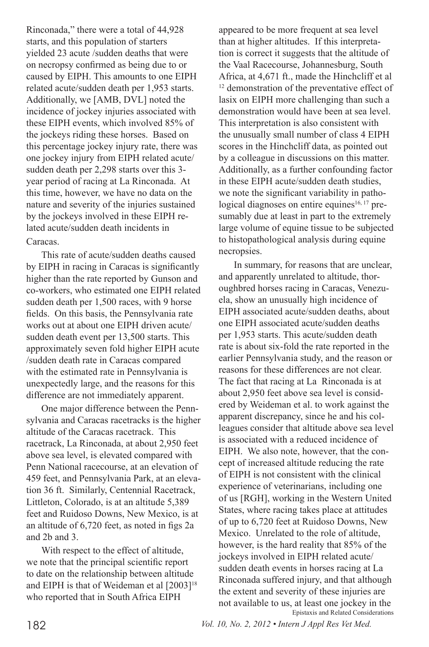Rinconada," there were a total of 44,928 starts, and this population of starters yielded 23 acute /sudden deaths that were on necropsy confirmed as being due to or caused by EIPH. This amounts to one EIPH related acute/sudden death per 1,953 starts. Additionally, we [AMB, DVL] noted the incidence of jockey injuries associated with these EIPH events, which involved 85% of the jockeys riding these horses. Based on this percentage jockey injury rate, there was one jockey injury from EIPH related acute/ sudden death per 2,298 starts over this 3 year period of racing at La Rinconada. At this time, however, we have no data on the nature and severity of the injuries sustained by the jockeys involved in these EIPH related acute/sudden death incidents in Caracas.

This rate of acute/sudden deaths caused by EIPH in racing in Caracas is significantly higher than the rate reported by Gunson and co-workers, who estimated one EIPH related sudden death per 1,500 races, with 9 horse fields. On this basis, the Pennsylvania rate works out at about one EIPH driven acute/ sudden death event per 13,500 starts. This approximately seven fold higher EIPH acute /sudden death rate in Caracas compared with the estimated rate in Pennsylvania is unexpectedly large, and the reasons for this difference are not immediately apparent.

One major difference between the Pennsylvania and Caracas racetracks is the higher altitude of the Caracas racetrack. This racetrack, La Rinconada, at about 2,950 feet above sea level, is elevated compared with Penn National racecourse, at an elevation of 459 feet, and Pennsylvania Park, at an elevation 36 ft. Similarly, Centennial Racetrack, Littleton, Colorado, is at an altitude 5,389 feet and Ruidoso Downs, New Mexico, is at an altitude of 6,720 feet, as noted in figs 2a and 2b and 3.

With respect to the effect of altitude, we note that the principal scientific report to date on the relationship between altitude and EIPH is that of Weideman et al [2003]<sup>18</sup> who reported that in South Africa EIPH

appeared to be more frequent at sea level than at higher altitudes. If this interpretation is correct it suggests that the altitude of the Vaal Racecourse, Johannesburg, South Africa, at 4,671 ft., made the Hinchcliff et al <sup>12</sup> demonstration of the preventative effect of lasix on EIPH more challenging than such a demonstration would have been at sea level. This interpretation is also consistent with the unusually small number of class 4 EIPH scores in the Hinchcliff data, as pointed out by a colleague in discussions on this matter. Additionally, as a further confounding factor in these EIPH acute/sudden death studies, we note the significant variability in pathological diagnoses on entire equines<sup>16, 17</sup> presumably due at least in part to the extremely large volume of equine tissue to be subjected to histopathological analysis during equine necropsies.

In summary, for reasons that are unclear, and apparently unrelated to altitude, thoroughbred horses racing in Caracas, Venezuela, show an unusually high incidence of EIPH associated acute/sudden deaths, about one EIPH associated acute/sudden deaths per 1,953 starts. This acute/sudden death rate is about six-fold the rate reported in the earlier Pennsylvania study, and the reason or reasons for these differences are not clear. The fact that racing at La Rinconada is at about 2,950 feet above sea level is considered by Weideman et al. to work against the apparent discrepancy, since he and his colleagues consider that altitude above sea level is associated with a reduced incidence of EIPH. We also note, however, that the concept of increased altitude reducing the rate of EIPH is not consistent with the clinical experience of veterinarians, including one of us [RGH], working in the Western United States, where racing takes place at attitudes of up to 6,720 feet at Ruidoso Downs, New Mexico. Unrelated to the role of altitude, however, is the hard reality that 85% of the jockeys involved in EIPH related acute/ sudden death events in horses racing at La Rinconada suffered injury, and that although the extent and severity of these injuries are not available to us, at least one jockey in the Epistaxis and Related Considerations

182 *Vol. 10, No. 2, 2012 • Intern J Appl Res Vet Med.*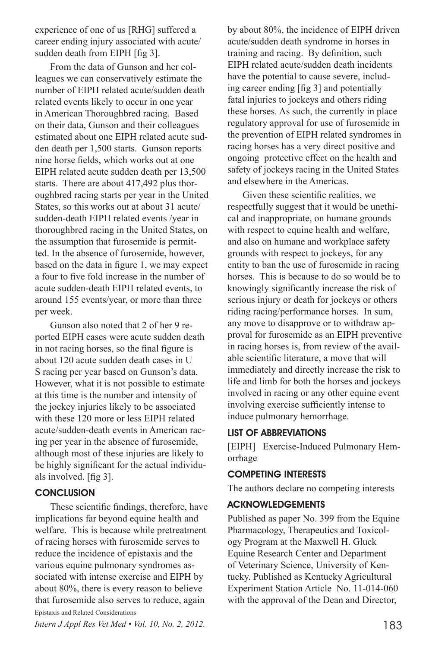experience of one of us [RHG] suffered a career ending injury associated with acute/ sudden death from EIPH [fig 3].

From the data of Gunson and her colleagues we can conservatively estimate the number of EIPH related acute/sudden death related events likely to occur in one year in American Thoroughbred racing. Based on their data, Gunson and their colleagues estimated about one EIPH related acute sudden death per 1,500 starts. Gunson reports nine horse fields, which works out at one EIPH related acute sudden death per 13,500 starts. There are about 417,492 plus thoroughbred racing starts per year in the United States, so this works out at about 31 acute/ sudden-death EIPH related events /year in thoroughbred racing in the United States, on the assumption that furosemide is permitted. In the absence of furosemide, however, based on the data in figure 1, we may expect a four to five fold increase in the number of acute sudden-death EIPH related events, to around 155 events/year, or more than three per week.

Gunson also noted that 2 of her 9 reported EIPH cases were acute sudden death in not racing horses, so the final figure is about 120 acute sudden death cases in U S racing per year based on Gunson's data. However, what it is not possible to estimate at this time is the number and intensity of the jockey injuries likely to be associated with these 120 more or less EIPH related acute/sudden-death events in American racing per year in the absence of furosemide, although most of these injuries are likely to be highly significant for the actual individuals involved. [fig 3].

#### **CONCLUSION**

These scientific findings, therefore, have implications far beyond equine health and welfare. This is because while pretreatment of racing horses with furosemide serves to reduce the incidence of epistaxis and the various equine pulmonary syndromes associated with intense exercise and EIPH by about 80%, there is every reason to believe that furosemide also serves to reduce, again Epistaxis and Related Considerations

*Intern J Appl Res Vet Med • Vol. 10, No. 2, 2012.* 183

by about 80%, the incidence of EIPH driven acute/sudden death syndrome in horses in training and racing. By definition, such EIPH related acute/sudden death incidents have the potential to cause severe, including career ending [fig 3] and potentially fatal injuries to jockeys and others riding these horses. As such, the currently in place regulatory approval for use of furosemide in the prevention of EIPH related syndromes in racing horses has a very direct positive and ongoing protective effect on the health and safety of jockeys racing in the United States and elsewhere in the Americas.

Given these scientific realities, we respectfully suggest that it would be unethical and inappropriate, on humane grounds with respect to equine health and welfare, and also on humane and workplace safety grounds with respect to jockeys, for any entity to ban the use of furosemide in racing horses. This is because to do so would be to knowingly significantly increase the risk of serious injury or death for jockeys or others riding racing/performance horses. In sum, any move to disapprove or to withdraw approval for furosemide as an EIPH preventive in racing horses is, from review of the available scientific literature, a move that will immediately and directly increase the risk to life and limb for both the horses and jockeys involved in racing or any other equine event involving exercise sufficiently intense to induce pulmonary hemorrhage.

## LIST OF ABBREVIATIONS

[EIPH] Exercise-Induced Pulmonary Hemorrhage

## COMPETING INTERESTS

The authors declare no competing interests

## ACKNOWLEDGEMENTS

Published as paper No. 399 from the Equine Pharmacology, Therapeutics and Toxicology Program at the Maxwell H. Gluck Equine Research Center and Department of Veterinary Science, University of Kentucky. Published as Kentucky Agricultural Experiment Station Article No. 11-014-060 with the approval of the Dean and Director,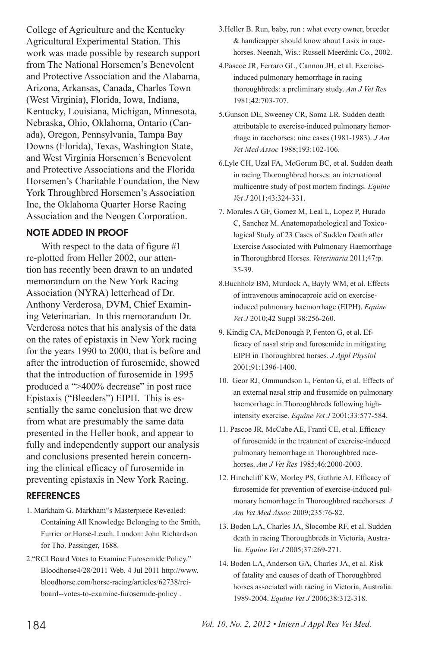College of Agriculture and the Kentucky Agricultural Experimental Station. This work was made possible by research support from The National Horsemen's Benevolent and Protective Association and the Alabama, Arizona, Arkansas, Canada, Charles Town (West Virginia), Florida, Iowa, Indiana, Kentucky, Louisiana, Michigan, Minnesota, Nebraska, Ohio, Oklahoma, Ontario (Canada), Oregon, Pennsylvania, Tampa Bay Downs (Florida), Texas, Washington State, and West Virginia Horsemen's Benevolent and Protective Associations and the Florida Horsemen's Charitable Foundation, the New York Throughbred Horsemen's Association Inc, the Oklahoma Quarter Horse Racing Association and the Neogen Corporation.

#### NOTE ADDED IN PROOF

With respect to the data of figure #1 re-plotted from Heller 2002, our attention has recently been drawn to an undated memorandum on the New York Racing Association (NYRA) letterhead of Dr. Anthony Verderosa, DVM, Chief Examining Veterinarian. In this memorandum Dr. Verderosa notes that his analysis of the data on the rates of epistaxis in New York racing for the years 1990 to 2000, that is before and after the introduction of furosemide, showed that the introduction of furosemide in 1995 produced a ">400% decrease" in post race Epistaxis ("Bleeders") EIPH. This is essentially the same conclusion that we drew from what are presumably the same data presented in the Heller book, and appear to fully and independently support our analysis and conclusions presented herein concerning the clinical efficacy of furosemide in preventing epistaxis in New York Racing.

#### **REFERENCES**

- 1. Markham G. Markham"s Masterpiece Revealed: Containing All Knowledge Belonging to the Smith, Furrier or Horse-Leach. London: John Richardson for Tho. Passinger, 1688.
- 2."RCI Board Votes to Examine Furosemide Policy." Bloodhorse4/28/2011 Web. 4 Jul 2011 http://www. bloodhorse.com/horse-racing/articles/62738/rciboard--votes-to-examine-furosemide-policy .
- 3.Heller B. Run, baby, run : what every owner, breeder & handicapper should know about Lasix in racehorses. Neenah, Wis.: Russell Meerdink Co., 2002.
- 4.Pascoe JR, Ferraro GL, Cannon JH, et al. Exerciseinduced pulmonary hemorrhage in racing thoroughbreds: a preliminary study. *Am J Vet Res* 1981;42:703-707.
- 5.Gunson DE, Sweeney CR, Soma LR. Sudden death attributable to exercise-induced pulmonary hemorrhage in racehorses: nine cases (1981-1983). *J Am Vet Med Assoc* 1988;193:102-106.
- 6.Lyle CH, Uzal FA, McGorum BC, et al. Sudden death in racing Thoroughbred horses: an international multicentre study of post mortem findings. *Equine Vet J* 2011;43:324-331.
- 7. Morales A GF, Gomez M, Leal L, Lopez P, Hurado C, Sanchez M. Anatomopathological and Toxicological Study of 23 Cases of Sudden Death after Exercise Associated with Pulmonary Haemorrhage in Thoroughbred Horses. *Veterinaria* 2011;47:p. 35-39.
- 8.Buchholz BM, Murdock A, Bayly WM, et al. Effects of intravenous aminocaproic acid on exerciseinduced pulmonary haemorrhage (EIPH). *Equine Vet J* 2010;42 Suppl 38:256-260.
- 9. Kindig CA, McDonough P, Fenton G, et al. Efficacy of nasal strip and furosemide in mitigating EIPH in Thoroughbred horses. *J Appl Physiol* 2001;91:1396-1400.
- 10. Geor RJ, Ommundson L, Fenton G, et al. Effects of an external nasal strip and frusemide on pulmonary haemorrhage in Thoroughbreds following highintensity exercise. *Equine Vet J* 2001;33:577-584.
- 11. Pascoe JR, McCabe AE, Franti CE, et al. Efficacy of furosemide in the treatment of exercise-induced pulmonary hemorrhage in Thoroughbred racehorses. *Am J Vet Res* 1985;46:2000-2003.
- 12. Hinchcliff KW, Morley PS, Guthrie AJ. Efficacy of furosemide for prevention of exercise-induced pulmonary hemorrhage in Thoroughbred racehorses. *J Am Vet Med Assoc* 2009;235:76-82.
- 13. Boden LA, Charles JA, Slocombe RF, et al. Sudden death in racing Thoroughbreds in Victoria, Australia. *Equine Vet J* 2005;37:269-271.
- 14. Boden LA, Anderson GA, Charles JA, et al. Risk of fatality and causes of death of Thoroughbred horses associated with racing in Victoria, Australia: 1989-2004. *Equine Vet J* 2006;38:312-318.